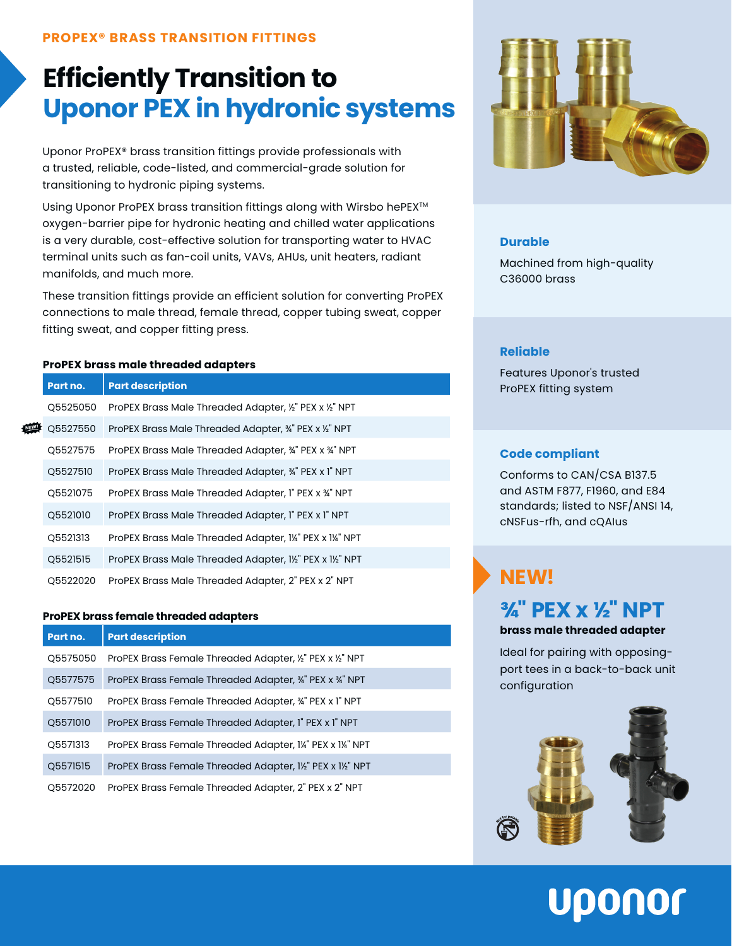## **Efficiently Transition to Uponor PEX in hydronic systems**

Uponor ProPEX® brass transition fittings provide professionals with a trusted, reliable, code-listed, and commercial-grade solution for transitioning to hydronic piping systems.

Using Uponor ProPEX brass transition fittings along with Wirsbo hePEX<sup>™</sup> oxygen-barrier pipe for hydronic heating and chilled water applications is a very durable, cost-effective solution for transporting water to HVAC terminal units such as fan-coil units, VAVs, AHUs, unit heaters, radiant manifolds, and much more.

These transition fittings provide an efficient solution for converting ProPEX connections to male thread, female thread, copper tubing sweat, copper fitting sweat, and copper fitting press.

#### **ProPEX brass male threaded adapters**

|  | Part no. | <b>Part description</b>                                   |
|--|----------|-----------------------------------------------------------|
|  | Q5525050 | ProPEX Brass Male Threaded Adapter, 1/2" PEX x 1/2" NPT   |
|  | Q5527550 | ProPEX Brass Male Threaded Adapter, 34" PEX x 1/2" NPT    |
|  | Q5527575 | ProPEX Brass Male Threaded Adapter, 34" PEX x 34" NPT     |
|  | Q5527510 | ProPEX Brass Male Threaded Adapter, 34" PEX x 1" NPT      |
|  | Q5521075 | ProPEX Brass Male Threaded Adapter, I" PEX x 34" NPT      |
|  | Q5521010 | ProPEX Brass Male Threaded Adapter, I" PEX x 1" NPT       |
|  | Q5521313 | ProPEX Brass Male Threaded Adapter, I¼" PEX x I¼" NPT     |
|  | Q5521515 | ProPEX Brass Male Threaded Adapter, 11/2" PEX x 11/2" NPT |
|  | O5522020 | ProPEX Brass Male Threaded Adapter, 2" PEX x 2" NPT       |

#### **ProPEX brass female threaded adapters**

| Part no. | <b>Part description</b>                                     |
|----------|-------------------------------------------------------------|
| Q5575050 | ProPEX Brass Female Threaded Adapter, 1/2" PEX x 1/2" NPT   |
| Q5577575 | ProPEX Brass Female Threaded Adapter, 34" PEX x 34" NPT     |
| Q5577510 | ProPEX Brass Female Threaded Adapter, 34" PEX x 1" NPT      |
| Q5571010 | ProPEX Brass Female Threaded Adapter, I" PEX x I" NPT       |
| Q5571313 | ProPEX Brass Female Threaded Adapter, 1¼" PEX x 1¼" NPT     |
| Q5571515 | ProPEX Brass Female Threaded Adapter, 11/2" PEX x 11/2" NPT |
| O5572020 | ProPEX Brass Female Threaded Adapter, 2" PEX x 2" NPT       |



#### **Durable**

Machined from high-quality C36000 brass

#### **Reliable**

Features Uponor's trusted ProPEX fitting system

#### **Code compliant**

Conforms to CAN/CSA B137.5 and ASTM F877, F1960, and E84 standards; listed to NSF/ANSI 14, cNSFus-rfh, and cQAIus

## **NEW!**

## **¾" PEX x ½" NPT**

**brass male threaded adapter**

Ideal for pairing with opposingport tees in a back-to-back unit configuration



# Uponor